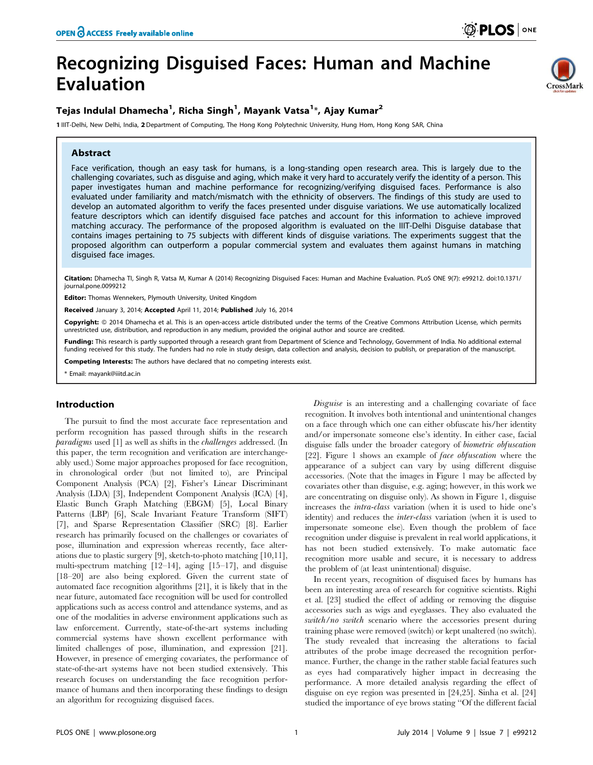CrossMark

# Recognizing Disguised Faces: Human and Machine Evaluation

# Tejas Indulal Dhamecha<sup>1</sup>, Richa Singh<sup>1</sup>, Mayank Vatsa<sup>1</sup>\*, Ajay Kumar<sup>2</sup>

1 IIIT-Delhi, New Delhi, India, 2 Department of Computing, The Hong Kong Polytechnic University, Hung Hom, Hong Kong SAR, China

### Abstract

Face verification, though an easy task for humans, is a long-standing open research area. This is largely due to the challenging covariates, such as disguise and aging, which make it very hard to accurately verify the identity of a person. This paper investigates human and machine performance for recognizing/verifying disguised faces. Performance is also evaluated under familiarity and match/mismatch with the ethnicity of observers. The findings of this study are used to develop an automated algorithm to verify the faces presented under disguise variations. We use automatically localized feature descriptors which can identify disguised face patches and account for this information to achieve improved matching accuracy. The performance of the proposed algorithm is evaluated on the IIIT-Delhi Disguise database that contains images pertaining to 75 subjects with different kinds of disguise variations. The experiments suggest that the proposed algorithm can outperform a popular commercial system and evaluates them against humans in matching disguised face images.

Citation: Dhamecha TI, Singh R, Vatsa M, Kumar A (2014) Recognizing Disguised Faces: Human and Machine Evaluation. PLoS ONE 9(7): e99212. doi:10.1371/ journal.pone.0099212

Editor: Thomas Wennekers, Plymouth University, United Kingdom

Received January 3, 2014; Accepted April 11, 2014; Published July 16, 2014

Copyright: © 2014 Dhamecha et al. This is an open-access article distributed under the terms of the Creative Commons Attribution License, which permits unrestricted use, distribution, and reproduction in any medium, provided the original author and source are credited.

Funding: This research is partly supported through a research grant from Department of Science and Technology, Government of India. No additional external funding received for this study. The funders had no role in study design, data collection and analysis, decision to publish, or preparation of the manuscript.

Competing Interests: The authors have declared that no competing interests exist.

\* Email: mayank@iiitd.ac.in

# Introduction

The pursuit to find the most accurate face representation and perform recognition has passed through shifts in the research paradigms used [1] as well as shifts in the challenges addressed. (In this paper, the term recognition and verification are interchangeably used.) Some major approaches proposed for face recognition, in chronological order (but not limited to), are Principal Component Analysis (PCA) [2], Fisher's Linear Discriminant Analysis (LDA) [3], Independent Component Analysis (ICA) [4], Elastic Bunch Graph Matching (EBGM) [5], Local Binary Patterns (LBP) [6], Scale Invariant Feature Transform (SIFT) [7], and Sparse Representation Classifier (SRC) [8]. Earlier research has primarily focused on the challenges or covariates of pose, illumination and expression whereas recently, face alterations due to plastic surgery [9], sketch-to-photo matching [10,11], multi-spectrum matching [12–14], aging [15–17], and disguise [18–20] are also being explored. Given the current state of automated face recognition algorithms [21], it is likely that in the near future, automated face recognition will be used for controlled applications such as access control and attendance systems, and as one of the modalities in adverse environment applications such as law enforcement. Currently, state-of-the-art systems including commercial systems have shown excellent performance with limited challenges of pose, illumination, and expression [21]. However, in presence of emerging covariates, the performance of state-of-the-art systems have not been studied extensively. This research focuses on understanding the face recognition performance of humans and then incorporating these findings to design an algorithm for recognizing disguised faces.

Disguise is an interesting and a challenging covariate of face recognition. It involves both intentional and unintentional changes on a face through which one can either obfuscate his/her identity and/or impersonate someone else's identity. In either case, facial disguise falls under the broader category of biometric obfuscation [22]. Figure 1 shows an example of face obfuscation where the appearance of a subject can vary by using different disguise accessories. (Note that the images in Figure 1 may be affected by covariates other than disguise, e.g. aging; however, in this work we are concentrating on disguise only). As shown in Figure 1, disguise increases the intra-class variation (when it is used to hide one's identity) and reduces the inter-class variation (when it is used to impersonate someone else). Even though the problem of face recognition under disguise is prevalent in real world applications, it has not been studied extensively. To make automatic face recognition more usable and secure, it is necessary to address the problem of (at least unintentional) disguise.

In recent years, recognition of disguised faces by humans has been an interesting area of research for cognitive scientists. Righi et al. [23] studied the effect of adding or removing the disguise accessories such as wigs and eyeglasses. They also evaluated the switch/no switch scenario where the accessories present during training phase were removed (switch) or kept unaltered (no switch). The study revealed that increasing the alterations to facial attributes of the probe image decreased the recognition performance. Further, the change in the rather stable facial features such as eyes had comparatively higher impact in decreasing the performance. A more detailed analysis regarding the effect of disguise on eye region was presented in [24,25]. Sinha et al. [24] studied the importance of eye brows stating ''Of the different facial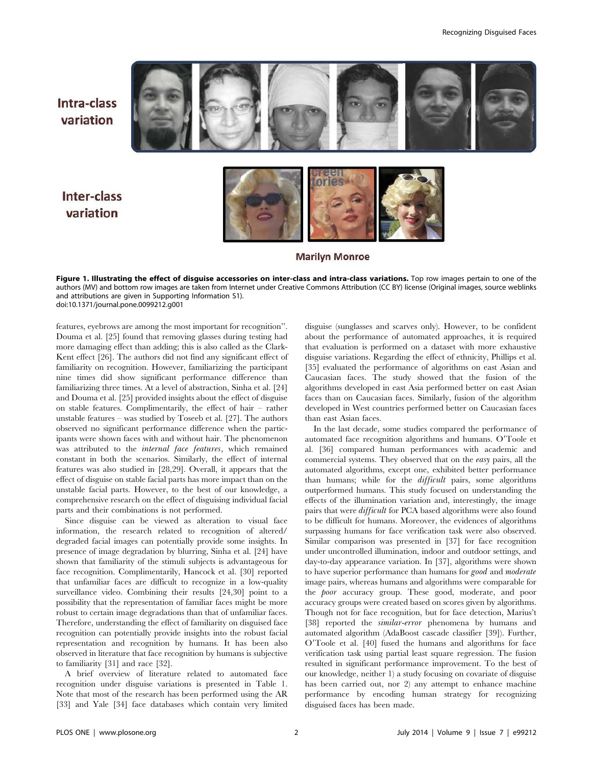Intra-class variation

Inter-class variation



**Marilyn Monroe** 

Figure 1. Illustrating the effect of disguise accessories on inter-class and intra-class variations. Top row images pertain to one of the authors (MV) and bottom row images are taken from Internet under Creative Commons Attribution (CC BY) license (Original images, source weblinks and attributions are given in Supporting Information S1). doi:10.1371/journal.pone.0099212.g001

features, eyebrows are among the most important for recognition''. Douma et al. [25] found that removing glasses during testing had more damaging effect than adding; this is also called as the Clark-Kent effect [26]. The authors did not find any significant effect of familiarity on recognition. However, familiarizing the participant nine times did show significant performance difference than familiarizing three times. At a level of abstraction, Sinha et al. [24] and Douma et al. [25] provided insights about the effect of disguise on stable features. Complimentarily, the effect of hair – rather unstable features – was studied by Toseeb et al. [27]. The authors observed no significant performance difference when the participants were shown faces with and without hair. The phenomenon was attributed to the internal face features, which remained constant in both the scenarios. Similarly, the effect of internal features was also studied in [28,29]. Overall, it appears that the effect of disguise on stable facial parts has more impact than on the unstable facial parts. However, to the best of our knowledge, a comprehensive research on the effect of disguising individual facial parts and their combinations is not performed.

Since disguise can be viewed as alteration to visual face information, the research related to recognition of altered/ degraded facial images can potentially provide some insights. In presence of image degradation by blurring, Sinha et al. [24] have shown that familiarity of the stimuli subjects is advantageous for face recognition. Complimentarily, Hancock et al. [30] reported that unfamiliar faces are difficult to recognize in a low-quality surveillance video. Combining their results [24,30] point to a possibility that the representation of familiar faces might be more robust to certain image degradations than that of unfamiliar faces. Therefore, understanding the effect of familiarity on disguised face recognition can potentially provide insights into the robust facial representation and recognition by humans. It has been also observed in literature that face recognition by humans is subjective to familiarity [31] and race [32].

A brief overview of literature related to automated face recognition under disguise variations is presented in Table 1. Note that most of the research has been performed using the AR [33] and Yale [34] face databases which contain very limited disguise (sunglasses and scarves only). However, to be confident about the performance of automated approaches, it is required that evaluation is performed on a dataset with more exhaustive disguise variations. Regarding the effect of ethnicity, Phillips et al. [35] evaluated the performance of algorithms on east Asian and Caucasian faces. The study showed that the fusion of the algorithms developed in east Asia performed better on east Asian faces than on Caucasian faces. Similarly, fusion of the algorithm developed in West countries performed better on Caucasian faces than east Asian faces.

In the last decade, some studies compared the performance of automated face recognition algorithms and humans. O'Toole et al. [36] compared human performances with academic and commercial systems. They observed that on the easy pairs, all the automated algorithms, except one, exhibited better performance than humans; while for the difficult pairs, some algorithms outperformed humans. This study focused on understanding the effects of the illumination variation and, interestingly, the image pairs that were difficult for PCA based algorithms were also found to be difficult for humans. Moreover, the evidences of algorithms surpassing humans for face verification task were also observed. Similar comparison was presented in [37] for face recognition under uncontrolled illumination, indoor and outdoor settings, and day-to-day appearance variation. In [37], algorithms were shown to have superior performance than humans for good and moderate image pairs, whereas humans and algorithms were comparable for the poor accuracy group. These good, moderate, and poor accuracy groups were created based on scores given by algorithms. Though not for face recognition, but for face detection, Marius't [38] reported the *similar-error* phenomena by humans and automated algorithm (AdaBoost cascade classifier [39]). Further, O'Toole et al. [40] fused the humans and algorithms for face verification task using partial least square regression. The fusion resulted in significant performance improvement. To the best of our knowledge, neither 1) a study focusing on covariate of disguise has been carried out, nor 2) any attempt to enhance machine performance by encoding human strategy for recognizing disguised faces has been made.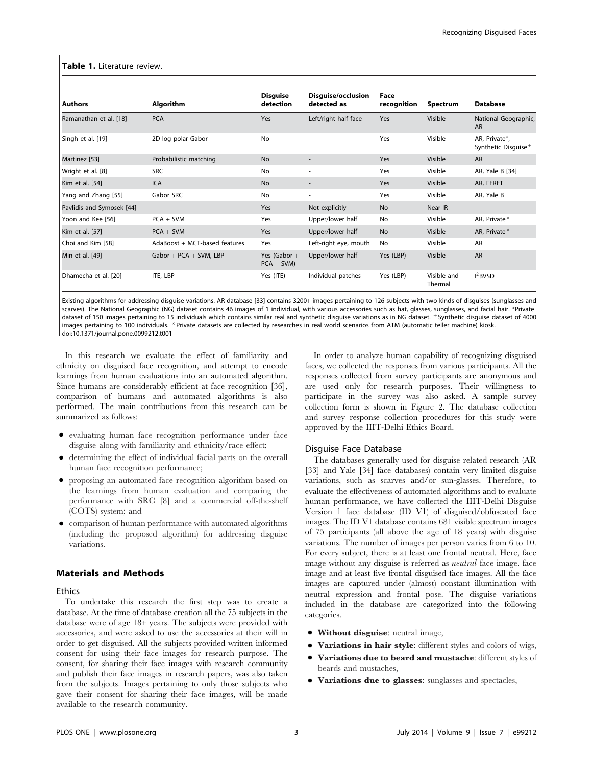#### Table 1. Literature review.

| <b>Authors</b>            | <b>Algorithm</b>              | <b>Disguise</b><br>detection  | Disquise/occlusion<br>detected as | Face<br>recognition | Spectrum               | <b>Database</b>                                  |
|---------------------------|-------------------------------|-------------------------------|-----------------------------------|---------------------|------------------------|--------------------------------------------------|
| Ramanathan et al. [18]    | <b>PCA</b>                    | Yes                           | Left/right half face              | Yes                 | Visible                | National Geographic,<br><b>AR</b>                |
| Singh et al. [19]         | 2D-log polar Gabor            | No                            |                                   | Yes                 | Visible                | AR, Private*,<br>Synthetic Disquise <sup>+</sup> |
| Martinez [53]             | Probabilistic matching        | <b>No</b>                     |                                   | Yes                 | Visible                | <b>AR</b>                                        |
| Wright et al. [8]         | <b>SRC</b>                    | No                            | $\overline{\phantom{a}}$          | Yes                 | Visible                | AR, Yale B [34]                                  |
| Kim et al. [54]           | <b>ICA</b>                    | <b>No</b>                     | $\overline{\phantom{a}}$          | Yes                 | Visible                | AR, FERET                                        |
| Yang and Zhang [55]       | Gabor SRC                     | No                            | ٠                                 | Yes                 | Visible                | AR, Yale B                                       |
| Pavlidis and Symosek [44] | $\overline{\phantom{a}}$      | Yes                           | Not explicitly                    | <b>No</b>           | Near-IR                | $\overline{\phantom{a}}$                         |
| Yoon and Kee [56]         | $PCA + SVM$                   | Yes                           | Upper/lower half                  | No                  | Visible                | AR, Private $\times$                             |
| Kim et al. [57]           | $PCA + SVM$                   | Yes                           | Upper/lower half                  | <b>No</b>           | Visible                | AR, Private ×                                    |
| Choi and Kim [58]         | AdaBoost + MCT-based features | Yes                           | Left-right eye, mouth             | No                  | Visible                | AR                                               |
| Min et al. [49]           | Gabor + PCA + SVM, LBP        | Yes (Gabor $+$<br>$PCA + SVM$ | Upper/lower half                  | Yes (LBP)           | Visible                | <b>AR</b>                                        |
| Dhamecha et al. [20]      | ITE, LBP                      | Yes (ITE)                     | Individual patches                | Yes (LBP)           | Visible and<br>Thermal | $I^2$ BVSD                                       |

Existing algorithms for addressing disguise variations. AR database [33] contains 3200+ images pertaining to 126 subjects with two kinds of disguises (sunglasses and scarves). The National Geographic (NG) dataset contains 46 images of 1 individual, with various accessories such as hat, glasses, sunglasses, and facial hair. \*Private dataset of 150 images pertaining to 15 individuals which contains similar real and synthetic disguise variations as in NG dataset. + Synthetic disguise dataset of 4000 images pertaining to 100 individuals. X Private datasets are collected by researches in real world scenarios from ATM (automatic teller machine) kiosk. doi:10.1371/journal.pone.0099212.t001

In this research we evaluate the effect of familiarity and ethnicity on disguised face recognition, and attempt to encode learnings from human evaluations into an automated algorithm. Since humans are considerably efficient at face recognition [36], comparison of humans and automated algorithms is also performed. The main contributions from this research can be summarized as follows:

- N evaluating human face recognition performance under face disguise along with familiarity and ethnicity/race effect;
- determining the effect of individual facial parts on the overall human face recognition performance;
- N proposing an automated face recognition algorithm based on the learnings from human evaluation and comparing the performance with SRC [8] and a commercial off-the-shelf (COTS) system; and
- N comparison of human performance with automated algorithms (including the proposed algorithm) for addressing disguise variations.

#### Materials and Methods

#### Ethics

To undertake this research the first step was to create a database. At the time of database creation all the 75 subjects in the database were of age 18+ years. The subjects were provided with accessories, and were asked to use the accessories at their will in order to get disguised. All the subjects provided written informed consent for using their face images for research purpose. The consent, for sharing their face images with research community and publish their face images in research papers, was also taken from the subjects. Images pertaining to only those subjects who gave their consent for sharing their face images, will be made available to the research community.

In order to analyze human capability of recognizing disguised faces, we collected the responses from various participants. All the responses collected from survey participants are anonymous and are used only for research purposes. Their willingness to participate in the survey was also asked. A sample survey collection form is shown in Figure 2. The database collection and survey response collection procedures for this study were approved by the IIIT-Delhi Ethics Board.

# Disguise Face Database

The databases generally used for disguise related research (AR [33] and Yale [34] face databases) contain very limited disguise variations, such as scarves and/or sun-glasses. Therefore, to evaluate the effectiveness of automated algorithms and to evaluate human performance, we have collected the IIIT-Delhi Disguise Version 1 face database (ID V1) of disguised/obfuscated face images. The ID V1 database contains 681 visible spectrum images of 75 participants (all above the age of 18 years) with disguise variations. The number of images per person varies from 6 to 10. For every subject, there is at least one frontal neutral. Here, face image without any disguise is referred as neutral face image. face image and at least five frontal disguised face images. All the face images are captured under (almost) constant illumination with neutral expression and frontal pose. The disguise variations included in the database are categorized into the following categories.

- Without disguise: neutral image,
- Variations in hair style: different styles and colors of wigs,
- Variations due to beard and mustache: different styles of beards and mustaches,
- Variations due to glasses: sunglasses and spectacles,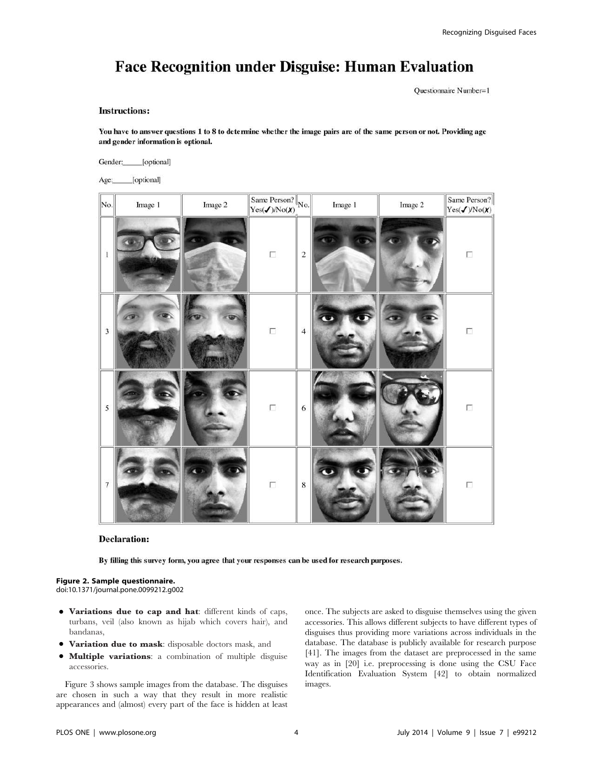# **Face Recognition under Disguise: Human Evaluation**

Questionnaire Number=1

#### **Instructions:**

You have to answer questions 1 to 8 to determine whether the image pairs are of the same person or not. Providing age and gender information is optional.

Gender: [optional]

Age: [optional]

| No.                      | Image 1 | Image 2 | Same Person? $\sqrt{\text{No}}$ .<br>Yes( $\checkmark$ )/No( $\chi$ ) <sub>.</sub> |                  | Image 1 | Image 2 | Same Person?<br>Yes( <b>J</b> )/No( <b>X</b> ) |
|--------------------------|---------|---------|------------------------------------------------------------------------------------|------------------|---------|---------|------------------------------------------------|
| $\,1$                    |         |         | $\Box$                                                                             | $\boldsymbol{2}$ |         |         | $\Box$                                         |
| $\overline{3}$           |         |         | $\Box$                                                                             | $\overline{4}$   |         |         | Г                                              |
| 5                        |         |         | П                                                                                  | 6                |         |         | Г                                              |
| $\overline{\phantom{a}}$ |         |         | $\Box$                                                                             | $\,$ 8 $\,$      |         |         | $\Box$                                         |

# **Declaration:**

By filling this survey form, you agree that your responses can be used for research purposes.

#### Figure 2. Sample questionnaire.

doi:10.1371/journal.pone.0099212.g002

- $\bullet$  Variations due to cap and hat: different kinds of caps, turbans, veil (also known as hijab which covers hair), and bandanas,
- $\bullet$  Variation due to mask: disposable doctors mask, and
- $\bullet$  Multiple variations: a combination of multiple disguise accessories.

Figure 3 shows sample images from the database. The disguises are chosen in such a way that they result in more realistic appearances and (almost) every part of the face is hidden at least once. The subjects are asked to disguise themselves using the given accessories. This allows different subjects to have different types of disguises thus providing more variations across individuals in the database. The database is publicly available for research purpose [41]. The images from the dataset are preprocessed in the same way as in [20] i.e. preprocessing is done using the CSU Face Identification Evaluation System [42] to obtain normalized images.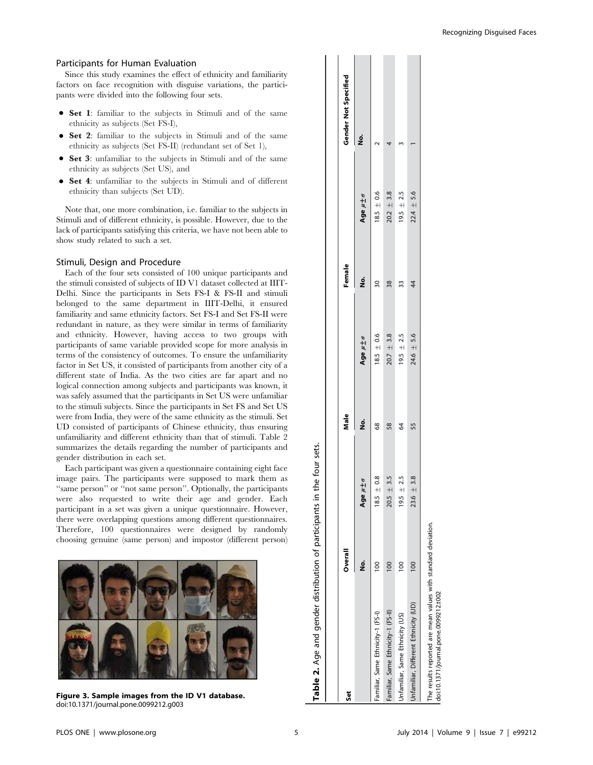#### Participants for Human Evaluation

Since this study examines the effect of ethnicity and familiarity factors on face recognition with disguise variations, the participants were divided into the following four sets.

- Set 1: familiar to the subjects in Stimuli and of the same ethnicity as subjects (Set FS-I),
- Set 2: familiar to the subjects in Stimuli and of the same ethnicity as subjects (Set FS-II) (redundant set of Set 1),
- Set 3: unfamiliar to the subjects in Stimuli and of the same ethnicity as subjects (Set US), and
- Set 4: unfamiliar to the subjects in Stimuli and of different ethnicity than subjects (Set UD).

Note that, one more combination, i.e. familiar to the subjects in Stimuli and of different ethnicity, is possible. However, due to the lack of participants satisfying this criteria, we have not been able to show study related to such a set.

#### Stimuli, Design and Procedure

Each of the four sets consisted of 100 unique participants and the stimuli consisted of subjects of ID V1 dataset collected at IIIT-Delhi. Since the participants in Sets FS-I & FS-II and stimuli belonged to the same department in IIIT-Delhi, it ensured familiarity and same ethnicity factors. Set FS-I and Set FS-II were redundant in nature, as they were similar in terms of familiarity and ethnicity. However, having access to two groups with participants of same variable provided scope for more analysis in terms of the consistency of outcomes. To ensure the unfamiliarity factor in Set US, it consisted of participants from another city of a different state of India. As the two cities are far apart and no logical connection among subjects and participants was known, it was safely assumed that the participants in Set US were unfamiliar to the stimuli subjects. Since the participants in Set FS and Set US were from India, they were of the same ethnicity as the stimuli. Set UD consisted of participants of Chinese ethnicity, thus ensuring unfamiliarity and different ethnicity than that of stimuli. Table 2 summarizes the details regarding the number of participants and gender distribution in each set.

Each participant was given a questionnaire containing eight face image pairs. The participants were supposed to mark them as ''same person'' or ''not same person''. Optionally, the participants were also requested to write their age and gender. Each participant in a set was given a unique questionnaire. However, there were overlapping questions among different questionnaires. Therefore, 100 questionnaires were designed by randomly choosing genuine (same person) and impostor (different person)



Figure 3. Sample images from the ID V1 database. doi:10.1371/journal.pone.0099212.g003

| Šē                                     | Overall         |                               | Male |                      | Female |                      | <b>Gender Not Specified</b> |
|----------------------------------------|-----------------|-------------------------------|------|----------------------|--------|----------------------|-----------------------------|
|                                        | ġ               | Age uto                       | ş    | Age $\mu \pm \sigma$ | ġ      | Age $\mu \pm \sigma$ | ġ                           |
| Familiar, Same Ethnicity-1 (FS-1)      | Ξ               | ∘.<br>$18.5 \pm$              | 68   | $18.5 \pm 0.6$       | వ్గ    | $18.5 \pm 0.6$       |                             |
| Familiar, Same Ethnicity-1 (FS-II)     | $\frac{8}{100}$ | 3.5<br>$20.5 +$               | 58   | $20.7 \pm 3.8$       | 38     | $20.2 \pm 3.8$       |                             |
| <b>Jnfamiliar, Same Ethnicity (US)</b> | $\frac{8}{1}$   | ۱ŋ<br>$19.5 +$                | \$   | $19.5 \pm 2.5$       | 33     | $19.5 \pm 2.5$       |                             |
| Unfamiliar, Different Ethnicity (UD)   | $\frac{8}{1}$   | $\frac{8}{3}$<br>$23.6 \pm 3$ | 55   | $24.6 \pm 5.6$       | 4      | $22.4 \pm 5.6$       |                             |

Table 2. Age and gender distribution of participants in the four sets.

Table 2. Age and gender distribution of participants in the four sets.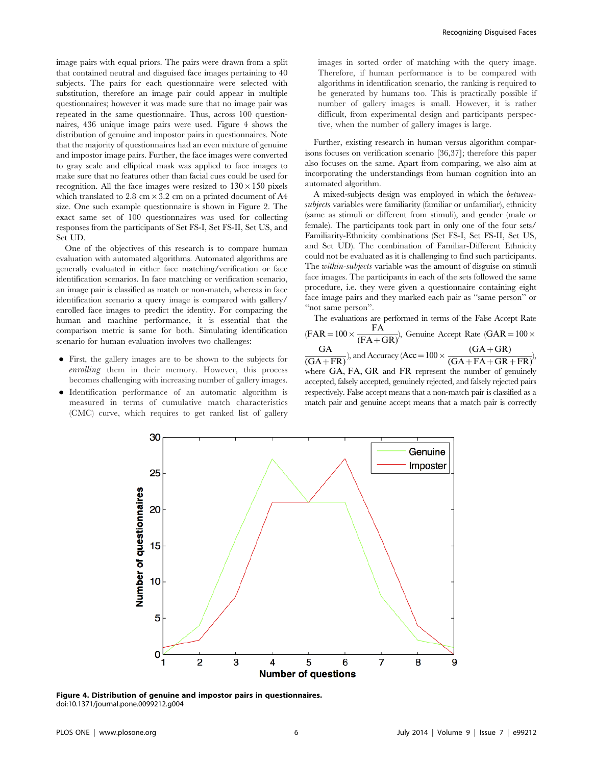image pairs with equal priors. The pairs were drawn from a split that contained neutral and disguised face images pertaining to 40 subjects. The pairs for each questionnaire were selected with substitution, therefore an image pair could appear in multiple questionnaires; however it was made sure that no image pair was repeated in the same questionnaire. Thus, across 100 questionnaires, 436 unique image pairs were used. Figure 4 shows the distribution of genuine and impostor pairs in questionnaires. Note that the majority of questionnaires had an even mixture of genuine and impostor image pairs. Further, the face images were converted to gray scale and elliptical mask was applied to face images to make sure that no features other than facial cues could be used for recognition. All the face images were resized to  $130\times150$  pixels which translated to 2.8 cm  $\times$  3.2 cm on a printed document of A4 size. One such example questionnaire is shown in Figure 2. The exact same set of 100 questionnaires was used for collecting responses from the participants of Set FS-I, Set FS-II, Set US, and Set UD.

One of the objectives of this research is to compare human evaluation with automated algorithms. Automated algorithms are generally evaluated in either face matching/verification or face identification scenarios. In face matching or verification scenario, an image pair is classified as match or non-match, whereas in face identification scenario a query image is compared with gallery/ enrolled face images to predict the identity. For comparing the human and machine performance, it is essential that the comparison metric is same for both. Simulating identification scenario for human evaluation involves two challenges:

- N First, the gallery images are to be shown to the subjects for enrolling them in their memory. However, this process becomes challenging with increasing number of gallery images.
- N Identification performance of an automatic algorithm is measured in terms of cumulative match characteristics (CMC) curve, which requires to get ranked list of gallery

images in sorted order of matching with the query image. Therefore, if human performance is to be compared with algorithms in identification scenario, the ranking is required to be generated by humans too. This is practically possible if number of gallery images is small. However, it is rather difficult, from experimental design and participants perspective, when the number of gallery images is large.

Further, existing research in human versus algorithm comparisons focuses on verification scenario [36,37]; therefore this paper also focuses on the same. Apart from comparing, we also aim at incorporating the understandings from human cognition into an automated algorithm.

A mixed-subjects design was employed in which the betweensubjects variables were familiarity (familiar or unfamiliar), ethnicity (same as stimuli or different from stimuli), and gender (male or female). The participants took part in only one of the four sets/ Familiarity-Ethnicity combinations (Set FS-I, Set FS-II, Set US, and Set UD). The combination of Familiar-Different Ethnicity could not be evaluated as it is challenging to find such participants. The *within-subjects* variable was the amount of disguise on stimuli face images. The participants in each of the sets followed the same procedure, i.e. they were given a questionnaire containing eight face image pairs and they marked each pair as ''same person'' or ''not same person''.

The evaluations are performed in terms of the False Accept Rate  $(FAR = 100 \times \frac{FA}{(FA+GR)}),$  Genuine Accept Rate  $(GAR = 100 \times$  $\frac{GA}{(GA+FR)}$ , and Accuracy (Acc = 100 ×  $\frac{(GA+GR)}{(GA+FA+GR+FR)}$ ), where GA, FA, GR and FR represent the number of genuinely accepted, falsely accepted, genuinely rejected, and falsely rejected pairs respectively. False accept means that a non-match pair is classified as a match pair and genuine accept means that a match pair is correctly



Figure 4. Distribution of genuine and impostor pairs in questionnaires. doi:10.1371/journal.pone.0099212.g004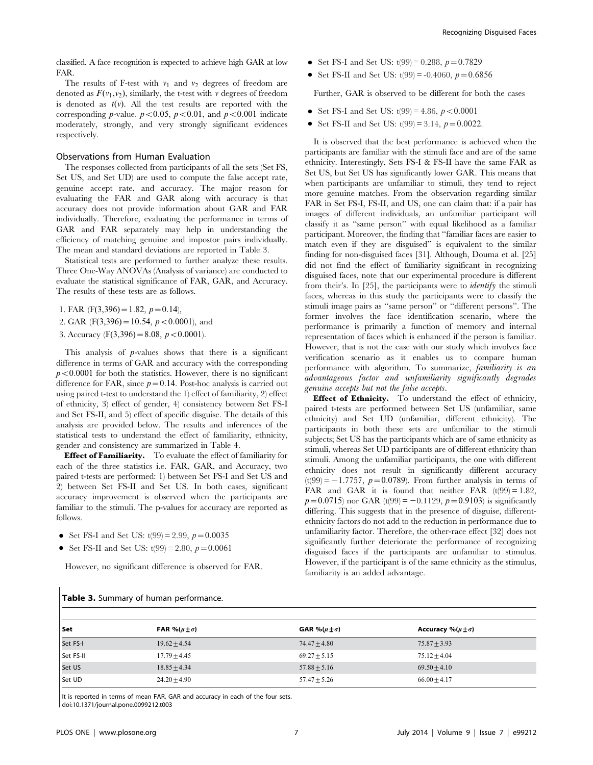classified. A face recognition is expected to achieve high GAR at low FAR.

The results of F-test with  $v_1$  and  $v_2$  degrees of freedom are denoted as  $F(v_1, v_2)$ , similarly, the t-test with v degrees of freedom is denoted as  $t(v)$ . All the test results are reported with the corresponding *p*-value.  $p < 0.05$ ,  $p < 0.01$ , and  $p < 0.001$  indicate moderately, strongly, and very strongly significant evidences respectively.

## Observations from Human Evaluation

The responses collected from participants of all the sets (Set FS, Set US, and Set UD) are used to compute the false accept rate, genuine accept rate, and accuracy. The major reason for evaluating the FAR and GAR along with accuracy is that accuracy does not provide information about GAR and FAR individually. Therefore, evaluating the performance in terms of GAR and FAR separately may help in understanding the efficiency of matching genuine and impostor pairs individually. The mean and standard deviations are reported in Table 3.

Statistical tests are performed to further analyze these results. Three One-Way ANOVAs (Analysis of variance) are conducted to evaluate the statistical significance of FAR, GAR, and Accuracy. The results of these tests are as follows.

1. FAR (F(3,396) = 1.82,  $p = 0.14$ ),

- 2. GAR (F(3,396) = 10.54,  $p < 0.0001$ ), and
- 3. Accuracy (F(3,396) = 8.08,  $p < 0.0001$ ).

This analysis of  $p$ -values shows that there is a significant difference in terms of GAR and accuracy with the corresponding  $p<0.0001$  for both the statistics. However, there is no significant difference for FAR, since  $p=0.14$ . Post-hoc analysis is carried out using paired t-test to understand the 1) effect of familiarity, 2) effect of ethnicity, 3) effect of gender, 4) consistency between Set FS-I and Set FS-II, and 5) effect of specific disguise. The details of this analysis are provided below. The results and inferences of the statistical tests to understand the effect of familiarity, ethnicity, gender and consistency are summarized in Table 4.

Effect of Familiarity. To evaluate the effect of familiarity for each of the three statistics i.e. FAR, GAR, and Accuracy, two paired t-tests are performed: 1) between Set FS-I and Set US and 2) between Set FS-II and Set US. In both cases, significant accuracy improvement is observed when the participants are familiar to the stimuli. The p-values for accuracy are reported as follows.

- Set FS-I and Set US:  $t(99) = 2.99$ ,  $p = 0.0035$
- Set FS-II and Set US:  $t(99) = 2.80$ ,  $p = 0.0061$

Table 3. Summary of human performance.

However, no significant difference is observed for FAR.

- Set FS-I and Set US:  $t(99) = 0.288$ ,  $p = 0.7829$
- Set FS-II and Set US:  $t(99) = -0.4060$ ,  $p = 0.6856$

Further, GAR is observed to be different for both the cases

- Set FS-I and Set US:  $t(99) = 4.86$ ,  $p < 0.0001$
- Set FS-II and Set US:  $t(99) = 3.14$ ,  $p = 0.0022$ .

It is observed that the best performance is achieved when the participants are familiar with the stimuli face and are of the same ethnicity. Interestingly, Sets FS-I & FS-II have the same FAR as Set US, but Set US has significantly lower GAR. This means that when participants are unfamiliar to stimuli, they tend to reject more genuine matches. From the observation regarding similar FAR in Set FS-I, FS-II, and US, one can claim that: if a pair has images of different individuals, an unfamiliar participant will classify it as ''same person'' with equal likelihood as a familiar participant. Moreover, the finding that ''familiar faces are easier to match even if they are disguised'' is equivalent to the similar finding for non-disguised faces [31]. Although, Douma et al. [25] did not find the effect of familiarity significant in recognizing disguised faces, note that our experimental procedure is different from their's. In [25], the participants were to identify the stimuli faces, whereas in this study the participants were to classify the stimuli image pairs as ''same person'' or ''different persons''. The former involves the face identification scenario, where the performance is primarily a function of memory and internal representation of faces which is enhanced if the person is familiar. However, that is not the case with our study which involves face verification scenario as it enables us to compare human performance with algorithm. To summarize, familiarity is an advantageous factor and unfamiliarity significantly degrades genuine accepts but not the false accepts.

Effect of Ethnicity. To understand the effect of ethnicity, paired t-tests are performed between Set US (unfamiliar, same ethnicity) and Set UD (unfamiliar, different ethnicity). The participants in both these sets are unfamiliar to the stimuli subjects; Set US has the participants which are of same ethnicity as stimuli, whereas Set UD participants are of different ethnicity than stimuli. Among the unfamiliar participants, the one with different ethnicity does not result in significantly different accuracy  $(t(99) = -1.7757, p=0.0789)$ . From further analysis in terms of FAR and GAR it is found that neither FAR  $(t(99) = 1.82)$ ,  $p=0.0715$ ) nor GAR (t(99) = -0.1129,  $p=0.9103$ ) is significantly differing. This suggests that in the presence of disguise, differentethnicity factors do not add to the reduction in performance due to unfamiliarity factor. Therefore, the other-race effect [32] does not significantly further deteriorate the performance of recognizing disguised faces if the participants are unfamiliar to stimulus. However, if the participant is of the same ethnicity as the stimulus, familiarity is an added advantage.

| l Set     | FAR % $(\mu \pm \sigma)$ | GAR % $(\mu \pm \sigma)$ | Accuracy %( $\mu \pm \sigma$ ) |
|-----------|--------------------------|--------------------------|--------------------------------|
| Set FS-I  | $19.62 + 4.54$           | $74.47 + 4.80$           | $75.87 + 3.93$                 |
| Set FS-II | $17.79 \pm 4.45$         | $69.27 + 5.15$           | $75.12 + 4.04$                 |
| Set US    | $18.85 + 4.34$           | $57.88 + 5.16$           | $69.50 + 4.10$                 |
| Set UD    | $24.20 + 4.90$           | $57.47 + 5.26$           | $66.00 + 4.17$                 |

It is reported in terms of mean FAR, GAR and accuracy in each of the four sets. doi:10.1371/journal.pone.0099212.t003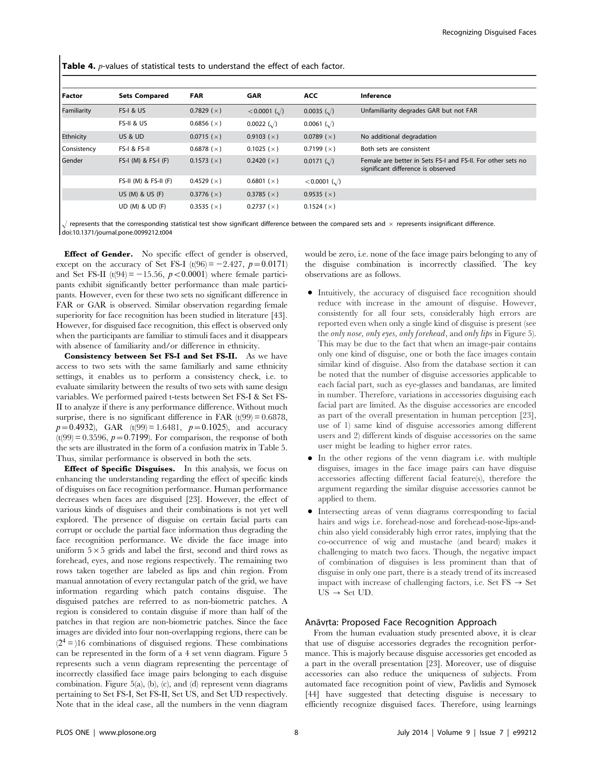Table 4. *p*-values of statistical tests to understand the effect of each factor.

| <b>Factor</b> | <b>Sets Compared</b>    | <b>FAR</b>          | <b>GAR</b>                | <b>ACC</b>                | Inference                                                                                         |
|---------------|-------------------------|---------------------|---------------------------|---------------------------|---------------------------------------------------------------------------------------------------|
| Familiarity   | <b>FS-I &amp; US</b>    | 0.7829 $(x)$        | $< 0.0001$ ( $\sqrt{ }$ ) | $0.0035$ ( $\sqrt{ }$ )   | Unfamiliarity degrades GAR but not FAR                                                            |
|               | FS-II & US              | 0.6856 ( $\times$ ) | $0.0022$ ( $\sqrt{ }$ )   | $0.0061$ ( $\sqrt{ }$ )   |                                                                                                   |
| Ethnicity     | US & UD                 | 0.0715(x)           | 0.9103 $(x)$              | 0.0789 ( $\times$ )       | No additional degradation                                                                         |
| Consistency   | FS-I & FS-II            | 0.6878 $(x)$        | 0.1025 ( $\times$ )       | 0.7199 $(x)$              | Both sets are consistent                                                                          |
| Gender        | $FS-I$ (M) & $FS-I$ (F) | 0.1573(x)           | 0.2420 $(x)$              | $0.0171 \; (\sqrt{ } )$   | Female are better in Sets FS-I and FS-II. For other sets no<br>significant difference is observed |
|               | $FS-II (M) & FS-II (F)$ | 0.4529 $(x)$        | 0.6801 $(x)$              | $< 0.0001$ ( $\sqrt{ }$ ) |                                                                                                   |
|               | US (M) & US (F)         | 0.3776 $(x)$        | 0.3785 $(x)$              | 0.9535 $(x)$              |                                                                                                   |
|               | UD (M) & UD (F)         | 0.3535 $(x)$        | 0.2737(x)                 | 0.1524 $(x)$              |                                                                                                   |

 $/$  represents that the corresponding statistical test show significant difference between the compared sets and  $\times$  represents insignificant difference. doi:10.1371/journal.pone.0099212.t004

**Effect of Gender.** No specific effect of gender is observed, except on the accuracy of Set FS-I (t(96) =  $-2.427$ , p=0.0171) and Set FS-II (t(94) = -15.56,  $p < 0.0001$ ) where female participants exhibit significantly better performance than male participants. However, even for these two sets no significant difference in FAR or GAR is observed. Similar observation regarding female superiority for face recognition has been studied in literature [43]. However, for disguised face recognition, this effect is observed only when the participants are familiar to stimuli faces and it disappears with absence of familiarity and/or difference in ethnicity.

Consistency between Set FS-I and Set FS-II. As we have access to two sets with the same familiarly and same ethnicity settings, it enables us to perform a consistency check, i.e. to evaluate similarity between the results of two sets with same design variables. We performed paired t-tests between Set FS-I & Set FS-II to analyze if there is any performance difference. Without much surprise, there is no significant difference in FAR  $(t(99) = 0.6878$ ,  $p=0.4932$ ), GAR (t(99) = 1.6481,  $p=0.1025$ ), and accuracy  $(t(99) = 0.3596, p = 0.7199)$ . For comparison, the response of both the sets are illustrated in the form of a confusion matrix in Table 5. Thus, similar performance is observed in both the sets.

Effect of Specific Disguises. In this analysis, we focus on enhancing the understanding regarding the effect of specific kinds of disguises on face recognition performance. Human performance decreases when faces are disguised [23]. However, the effect of various kinds of disguises and their combinations is not yet well explored. The presence of disguise on certain facial parts can corrupt or occlude the partial face information thus degrading the face recognition performance. We divide the face image into uniform  $5\times 5$  grids and label the first, second and third rows as forehead, eyes, and nose regions respectively. The remaining two rows taken together are labeled as lips and chin region. From manual annotation of every rectangular patch of the grid, we have information regarding which patch contains disguise. The disguised patches are referred to as non-biometric patches. A region is considered to contain disguise if more than half of the patches in that region are non-biometric patches. Since the face images are divided into four non-overlapping regions, there can be  $(2<sup>4</sup>=)16$  combinations of disguised regions. These combinations can be represented in the form of a 4 set venn diagram. Figure 5 represents such a venn diagram representing the percentage of incorrectly classified face image pairs belonging to each disguise combination. Figure 5(a), (b), (c), and (d) represent venn diagrams pertaining to Set FS-I, Set FS-II, Set US, and Set UD respectively. Note that in the ideal case, all the numbers in the venn diagram

would be zero, i.e. none of the face image pairs belonging to any of the disguise combination is incorrectly classified. The key observations are as follows.

- N Intuitively, the accuracy of disguised face recognition should reduce with increase in the amount of disguise. However, consistently for all four sets, considerably high errors are reported even when only a single kind of disguise is present (see the only nose, only eyes, only forehead, and only lips in Figure 5). This may be due to the fact that when an image-pair contains only one kind of disguise, one or both the face images contain similar kind of disguise. Also from the database section it can be noted that the number of disguise accessories applicable to each facial part, such as eye-glasses and bandanas, are limited in number. Therefore, variations in accessories disguising each facial part are limited. As the disguise accessories are encoded as part of the overall presentation in human perception [23], use of 1) same kind of disguise accessories among different users and 2) different kinds of disguise accessories on the same user might be leading to higher error rates.
- In the other regions of the venn diagram i.e. with multiple disguises, images in the face image pairs can have disguise accessories affecting different facial feature(s), therefore the argument regarding the similar disguise accessories cannot be applied to them.
- N Intersecting areas of venn diagrams corresponding to facial hairs and wigs i.e. forehead-nose and forehead-nose-lips-andchin also yield considerably high error rates, implying that the co-occurrence of wig and mustache (and beard) makes it challenging to match two faces. Though, the negative impact of combination of disguises is less prominent than that of disguise in only one part, there is a steady trend of its increased impact with increase of challenging factors, i.e. Set  $FS \rightarrow Set$  $US \rightarrow Set UD$ .

#### Anāvṛta: Proposed Face Recognition Approach

˙ From the human evaluation study presented above, it is clear that use of disguise accessories degrades the recognition performance. This is majorly because disguise accessories get encoded as a part in the overall presentation [23]. Moreover, use of disguise accessories can also reduce the uniqueness of subjects. From automated face recognition point of view, Pavlidis and Symosek [44] have suggested that detecting disguise is necessary to efficiently recognize disguised faces. Therefore, using learnings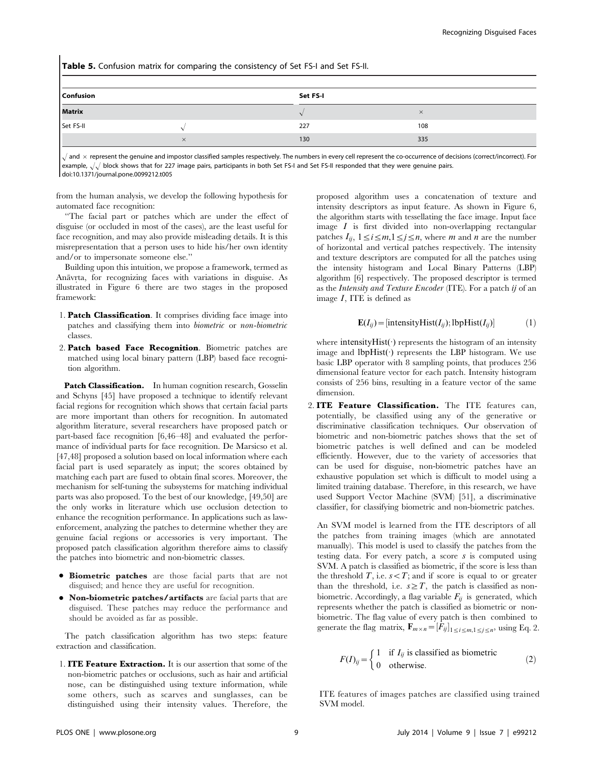Table 5. Confusion matrix for comparing the consistency of Set FS-I and Set FS-II.

| Confusion     |          | Set FS-I |          |  |
|---------------|----------|----------|----------|--|
| <b>Matrix</b> |          |          | $\times$ |  |
| Set FS-II     |          | 227      | 108      |  |
|               | $\times$ | 130      | 335      |  |

 $\sqrt{}$  and  $\times$  represent the genuine and impostor classified samples respectively. The numbers in every cell represent the co-occurrence of decisions (correct/incorrect). For example,  $\sqrt{\sqrt{}}$  block shows that for 227 image pairs, participants in both Set FS-I and Set FS-II responded that they were genuine pairs. doi:10.1371/journal.pone.0099212.t005

from the human analysis, we develop the following hypothesis for automated face recognition:

''The facial part or patches which are under the effect of disguise (or occluded in most of the cases), are the least useful for face recognition, and may also provide misleading details. It is this misrepresentation that a person uses to hide his/her own identity and/or to impersonate someone else.''

Building upon this intuition, we propose a framework, termed as Anāvrta, for recognizing faces with variations in disguise. As ˙ illustrated in Figure 6 there are two stages in the proposed framework:

- 1. Patch Classification. It comprises dividing face image into patches and classifying them into biometric or non-biometric classes.
- 2. Patch based Face Recognition. Biometric patches are matched using local binary pattern (LBP) based face recognition algorithm.

Patch Classification. In human cognition research, Gosselin and Schyns [45] have proposed a technique to identify relevant facial regions for recognition which shows that certain facial parts are more important than others for recognition. In automated algorithm literature, several researchers have proposed patch or part-based face recognition [6,46–48] and evaluated the performance of individual parts for face recognition. De Marsicso et al. [47,48] proposed a solution based on local information where each facial part is used separately as input; the scores obtained by matching each part are fused to obtain final scores. Moreover, the mechanism for self-tuning the subsystems for matching individual parts was also proposed. To the best of our knowledge, [49,50] are the only works in literature which use occlusion detection to enhance the recognition performance. In applications such as lawenforcement, analyzing the patches to determine whether they are genuine facial regions or accessories is very important. The proposed patch classification algorithm therefore aims to classify the patches into biometric and non-biometric classes.

- **Biometric patches** are those facial parts that are not disguised; and hence they are useful for recognition.
- $\bullet$  Non-biometric patches/artifacts are facial parts that are disguised. These patches may reduce the performance and should be avoided as far as possible.

The patch classification algorithm has two steps: feature extraction and classification.

1. ITE Feature Extraction. It is our assertion that some of the non-biometric patches or occlusions, such as hair and artificial nose, can be distinguished using texture information, while some others, such as scarves and sunglasses, can be distinguished using their intensity values. Therefore, the proposed algorithm uses a concatenation of texture and intensity descriptors as input feature. As shown in Figure 6, the algorithm starts with tessellating the face image. Input face image  $I$  is first divided into non-overlapping rectangular patches  $I_{ij}$ ,  $1 \le i \le m, 1 \le j \le n$ , where m and n are the number of horizontal and vertical patches respectively. The intensity and texture descriptors are computed for all the patches using the intensity histogram and Local Binary Patterns (LBP) algorithm [6] respectively. The proposed descriptor is termed as the Intensity and Texture Encoder (ITE). For a patch ij of an image I, ITE is defined as

$$
\mathbf{E}(I_{ij}) = [\text{intensityHist}(I_{ij}); \text{lbpHist}(I_{ij})] \tag{1}
$$

where intensityHist( $\cdot$ ) represents the histogram of an intensity mere mensivy rise() represents the IBP histogram. We use basic LBP operator with 8 sampling points, that produces 256 dimensional feature vector for each patch. Intensity histogram consists of 256 bins, resulting in a feature vector of the same dimension.

2. ITE Feature Classification. The ITE features can, potentially, be classified using any of the generative or discriminative classification techniques. Our observation of biometric and non-biometric patches shows that the set of biometric patches is well defined and can be modeled efficiently. However, due to the variety of accessories that can be used for disguise, non-biometric patches have an exhaustive population set which is difficult to model using a limited training database. Therefore, in this research, we have used Support Vector Machine (SVM) [51], a discriminative classifier, for classifying biometric and non-biometric patches.

An SVM model is learned from the ITE descriptors of all the patches from training images (which are annotated manually). This model is used to classify the patches from the testing data. For every patch, a score  $s$  is computed using SVM. A patch is classified as biometric, if the score is less than the threshold  $T$ , i.e.  $s < T$ ; and if score is equal to or greater than the threshold, i.e.  $s \geq T$ , the patch is classified as nonbiometric. Accordingly, a flag variable  $F_{ij}$  is generated, which represents whether the patch is classified as biometric or nonbiometric. The flag value of every patch is then combined to generate the flag matrix,  $\mathbf{F}_{m \times n} = [F_{ij}]_{1 \le i \le m, 1 \le j \le n}$ , using Eq. 2.

$$
F(I)_{ij} = \begin{cases} 1 & \text{if } I_{ij} \text{ is classified as biometric} \\ 0 & \text{otherwise.} \end{cases}
$$
 (2)

ITE features of images patches are classified using trained SVM model.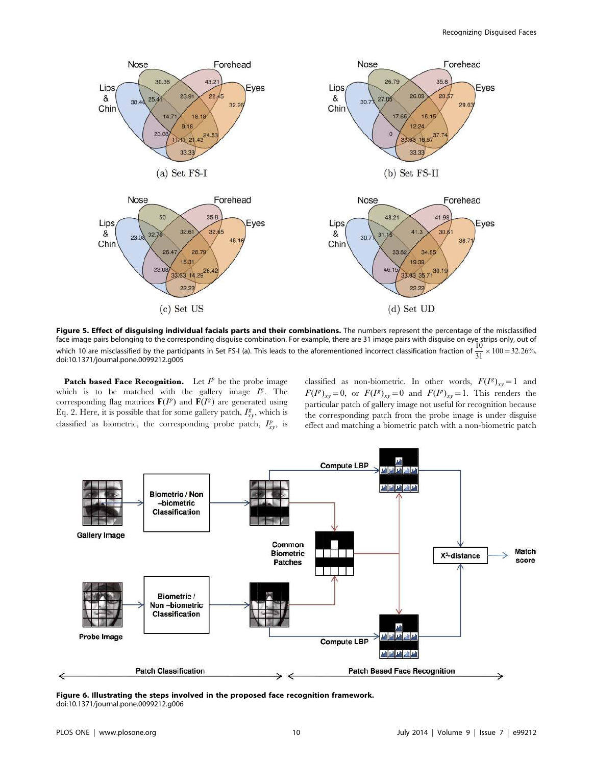

Figure 5. Effect of disguising individual facials parts and their combinations. The numbers represent the percentage of the misclassified face image pairs belonging to the corresponding disguise combination. For example, there are 31 image pairs with disguise on eye strips only, out of<br>which 10 are misclassified by the participants in Set FS-I (a). This lea doi:10.1371/journal.pone.0099212.g005

Patch based Face Recognition. Let  $I^p$  be the probe image which is to be matched with the gallery image  $I^g$ . The corresponding flag matrices  $\mathbf{F}(I^p)$  and  $\mathbf{F}(I^g)$  are generated using Eq. 2. Here, it is possible that for some gallery patch,  $I_{xy}^g$ , which is classified as biometric, the corresponding probe patch,  $I_{xy}^p$ , is

classified as non-biometric. In other words,  $F(I^g)_{xy} = 1$  and  $F(I^p)_{xy} = 0$ , or  $F(I^g)_{xy} = 0$  and  $F(I^p)_{xy} = 1$ . This renders the particular patch of gallery image not useful for recognition because the corresponding patch from the probe image is under disguise effect and matching a biometric patch with a non-biometric patch



Figure 6. Illustrating the steps involved in the proposed face recognition framework. doi:10.1371/journal.pone.0099212.g006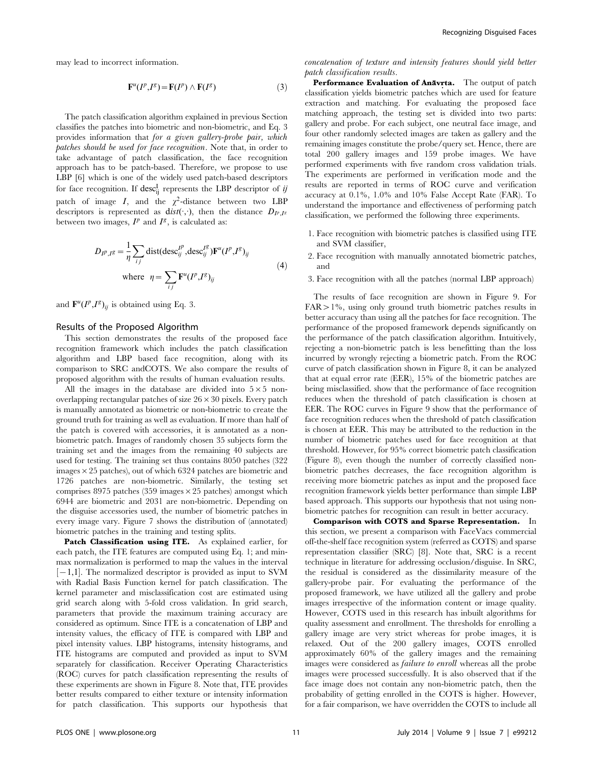may lead to incorrect information.

$$
\mathbf{F}^{u}(I^{p},I^{g}) = \mathbf{F}(I^{p}) \wedge \mathbf{F}(I^{g})
$$
\n(3)

The patch classification algorithm explained in previous Section classifies the patches into biometric and non-biometric, and Eq. 3 provides information that for a given gallery-probe pair, which patches should be used for face recognition. Note that, in order to take advantage of patch classification, the face recognition approach has to be patch-based. Therefore, we propose to use LBP [6] which is one of the widely used patch-based descriptors for face recognition. If  $\operatorname{desc}^{\mathrm{I}}_{\mathrm{ij}}$  represents the LBP descriptor of  $ij$ patch of image  $I$ , and the  $\chi^2$ -distance between two LBP descriptors is represented as  $dist(\cdot;\cdot)$ , then the distance  $D_{I^p,I^s}$ between two images,  $I^p$  and  $I^g$ , is calculated as:

$$
D_{IP,IS} = \frac{1}{\eta} \sum_{ij} \text{dist}(desc_{ij}^{IP}, desc_{ij}^{IS}) \mathbf{F}^{u}(I^{P}, I^{S})_{ij}
$$
  
where  $\eta = \sum_{ij} \mathbf{F}^{u}(I^{P}, I^{S})_{ij}$  (4)

and  $\mathbf{F}^u(I^p,I^g)_{ij}$  is obtained using Eq. 3.

#### Results of the Proposed Algorithm

This section demonstrates the results of the proposed face recognition framework which includes the patch classification algorithm and LBP based face recognition, along with its comparison to SRC andCOTS. We also compare the results of proposed algorithm with the results of human evaluation results.

All the images in the database are divided into  $5\times5$  nonoverlapping rectangular patches of size  $26\times30$  pixels. Every patch is manually annotated as biometric or non-biometric to create the ground truth for training as well as evaluation. If more than half of the patch is covered with accessories, it is annotated as a nonbiometric patch. Images of randomly chosen 35 subjects form the training set and the images from the remaining 40 subjects are used for testing. The training set thus contains 8050 patches (322 images  $\times$  25 patches), out of which 6324 patches are biometric and 1726 patches are non-biometric. Similarly, the testing set comprises 8975 patches (359 images  $\times$  25 patches) amongst which 6944 are biometric and 2031 are non-biometric. Depending on the disguise accessories used, the number of biometric patches in every image vary. Figure 7 shows the distribution of (annotated) biometric patches in the training and testing splits.

Patch Classification using ITE. As explained earlier, for each patch, the ITE features are computed using Eq. 1; and minmax normalization is performed to map the values in the interval  $[-1,1]$ . The normalized descriptor is provided as input to SVM with Radial Basis Function kernel for patch classification. The kernel parameter and misclassification cost are estimated using grid search along with 5-fold cross validation. In grid search, parameters that provide the maximum training accuracy are considered as optimum. Since ITE is a concatenation of LBP and intensity values, the efficacy of ITE is compared with LBP and pixel intensity values. LBP histograms, intensity histograms, and ITE histograms are computed and provided as input to SVM separately for classification. Receiver Operating Characteristics (ROC) curves for patch classification representing the results of these experiments are shown in Figure 8. Note that, ITE provides better results compared to either texture or intensity information for patch classification. This supports our hypothesis that

concatenation of texture and intensity features should yield better patch classification results.

Performance Evaluation of Anavrta. The output of patch ˙ classification yields biometric patches which are used for feature extraction and matching. For evaluating the proposed face matching approach, the testing set is divided into two parts: gallery and probe. For each subject, one neutral face image, and four other randomly selected images are taken as gallery and the remaining images constitute the probe/query set. Hence, there are total 200 gallery images and 159 probe images. We have performed experiments with five random cross validation trials. The experiments are performed in verification mode and the results are reported in terms of ROC curve and verification accuracy at 0.1%, 1.0% and 10% False Accept Rate (FAR). To understand the importance and effectiveness of performing patch classification, we performed the following three experiments.

- 1. Face recognition with biometric patches is classified using ITE and SVM classifier,
- 2. Face recognition with manually annotated biometric patches, and
- 3. Face recognition with all the patches (normal LBP approach)

The results of face recognition are shown in Figure 9. For  $FAR > 1\%$ , using only ground truth biometric patches results in better accuracy than using all the patches for face recognition. The performance of the proposed framework depends significantly on the performance of the patch classification algorithm. Intuitively, rejecting a non-biometric patch is less benefitting than the loss incurred by wrongly rejecting a biometric patch. From the ROC curve of patch classification shown in Figure 8, it can be analyzed that at equal error rate (EER), 15% of the biometric patches are being misclassified. show that the performance of face recognition reduces when the threshold of patch classification is chosen at EER. The ROC curves in Figure 9 show that the performance of face recognition reduces when the threshold of patch classification is chosen at EER. This may be attributed to the reduction in the number of biometric patches used for face recognition at that threshold. However, for 95% correct biometric patch classification (Figure 8), even though the number of correctly classified nonbiometric patches decreases, the face recognition algorithm is receiving more biometric patches as input and the proposed face recognition framework yields better performance than simple LBP based approach. This supports our hypothesis that not using nonbiometric patches for recognition can result in better accuracy.

Comparison with COTS and Sparse Representation. In this section, we present a comparison with FaceVacs commercial off-the-shelf face recognition system (referred as COTS) and sparse representation classifier (SRC) [8]. Note that, SRC is a recent technique in literature for addressing occlusion/disguise. In SRC, the residual is considered as the dissimilarity measure of the gallery-probe pair. For evaluating the performance of the proposed framework, we have utilized all the gallery and probe images irrespective of the information content or image quality. However, COTS used in this research has inbuilt algorithms for quality assessment and enrollment. The thresholds for enrolling a gallery image are very strict whereas for probe images, it is relaxed. Out of the 200 gallery images, COTS enrolled approximately 60% of the gallery images and the remaining images were considered as failure to enroll whereas all the probe images were processed successfully. It is also observed that if the face image does not contain any non-biometric patch, then the probability of getting enrolled in the COTS is higher. However, for a fair comparison, we have overridden the COTS to include all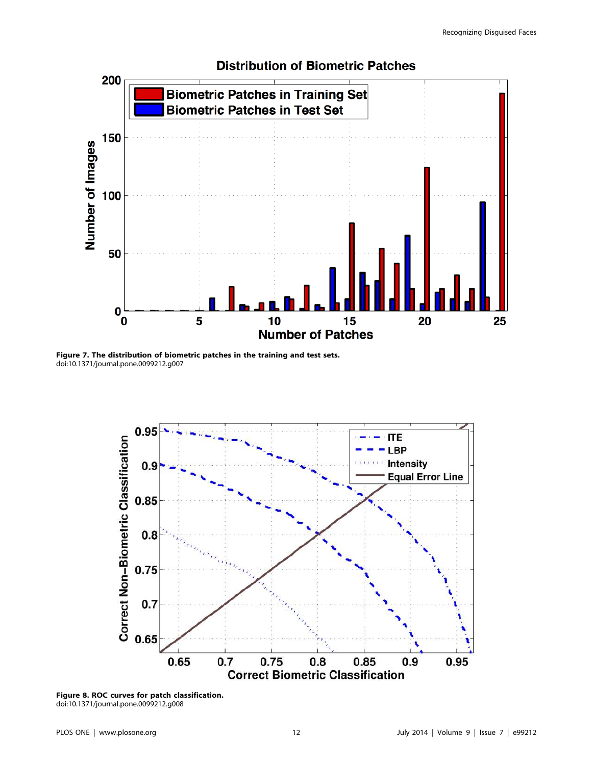

Figure 7. The distribution of biometric patches in the training and test sets. doi:10.1371/journal.pone.0099212.g007



Figure 8. ROC curves for patch classification. doi:10.1371/journal.pone.0099212.g008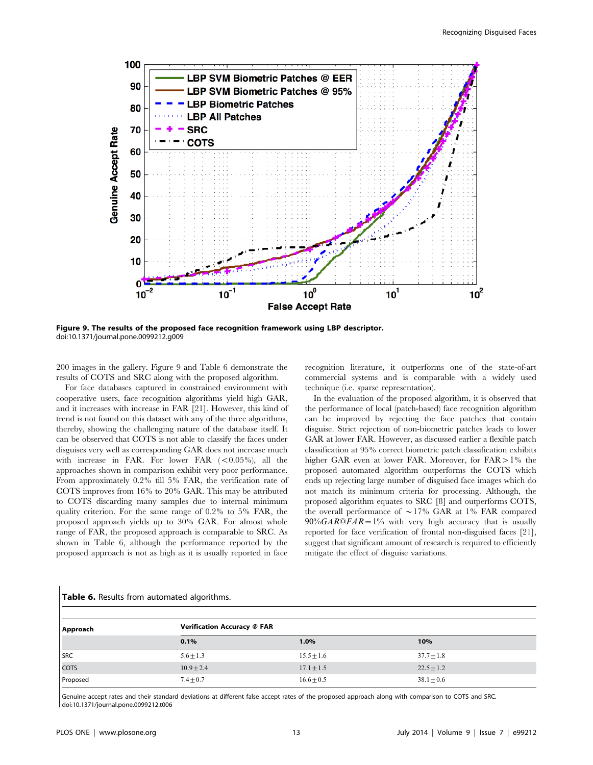

Figure 9. The results of the proposed face recognition framework using LBP descriptor. doi:10.1371/journal.pone.0099212.g009

200 images in the gallery. Figure 9 and Table 6 demonstrate the results of COTS and SRC along with the proposed algorithm.

For face databases captured in constrained environment with cooperative users, face recognition algorithms yield high GAR, and it increases with increase in FAR [21]. However, this kind of trend is not found on this dataset with any of the three algorithms, thereby, showing the challenging nature of the database itself. It can be observed that COTS is not able to classify the faces under disguises very well as corresponding GAR does not increase much with increase in FAR. For lower FAR  $(<0.05\%)$ , all the approaches shown in comparison exhibit very poor performance. From approximately 0.2% till 5% FAR, the verification rate of COTS improves from 16% to 20% GAR. This may be attributed to COTS discarding many samples due to internal minimum quality criterion. For the same range of 0.2% to 5% FAR, the proposed approach yields up to 30% GAR. For almost whole range of FAR, the proposed approach is comparable to SRC. As shown in Table 6, although the performance reported by the proposed approach is not as high as it is usually reported in face recognition literature, it outperforms one of the state-of-art commercial systems and is comparable with a widely used technique (i.e. sparse representation).

In the evaluation of the proposed algorithm, it is observed that the performance of local (patch-based) face recognition algorithm can be improved by rejecting the face patches that contain disguise. Strict rejection of non-biometric patches leads to lower GAR at lower FAR. However, as discussed earlier a flexible patch classification at 95% correct biometric patch classification exhibits higher GAR even at lower FAR. Moreover, for  $FAR > 1\%$  the proposed automated algorithm outperforms the COTS which ends up rejecting large number of disguised face images which do not match its minimum criteria for processing. Although, the proposed algorithm equates to SRC [8] and outperforms COTS, the overall performance of  $\sim$  17% GAR at 1% FAR compared  $90\% GAR@FAR = 1\%$  with very high accuracy that is usually reported for face verification of frontal non-disguised faces [21], suggest that significant amount of research is required to efficiently mitigate the effect of disguise variations.

| Approach   | Verification Accuracy @ FAR |                |                |  |
|------------|-----------------------------|----------------|----------------|--|
|            | 0.1%                        | 1.0%           | 10%            |  |
| <b>SRC</b> | $5.6 \pm 1.3$               | $15.5 + 1.6$   | $37.7 + 1.8$   |  |
| COTS       | $10.9 + 2.4$                | $17.1 + 1.5$   | $22.5 + 1.2$   |  |
| Proposed   | $7.4 \pm 0.7$               | $16.6 \pm 0.5$ | $38.1 \pm 0.6$ |  |

Genuine accept rates and their standard deviations at different false accept rates of the proposed approach along with comparison to COTS and SRC. doi:10.1371/journal.pone.0099212.t006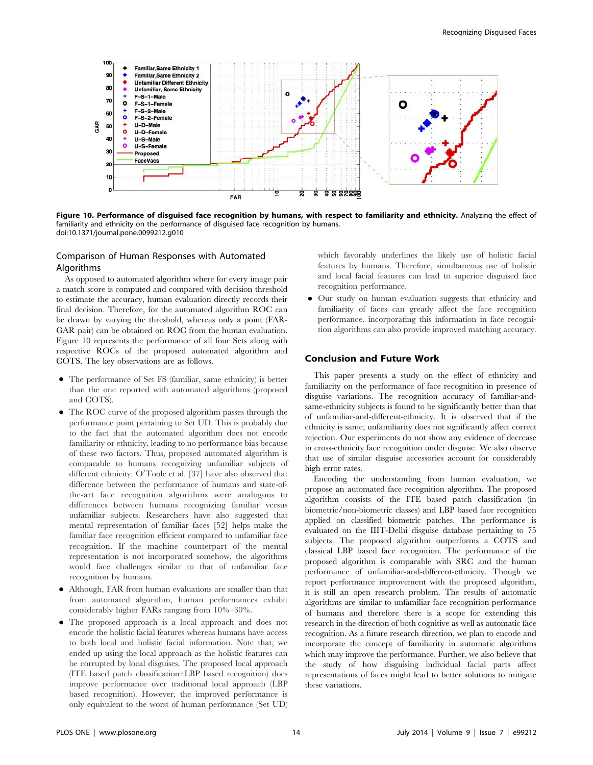

Figure 10. Performance of disguised face recognition by humans, with respect to familiarity and ethnicity. Analyzing the effect of familiarity and ethnicity on the performance of disguised face recognition by humans. doi:10.1371/journal.pone.0099212.g010

# Comparison of Human Responses with Automated Algorithms

As opposed to automated algorithm where for every image pair a match score is computed and compared with decision threshold to estimate the accuracy, human evaluation directly records their final decision. Therefore, for the automated algorithm ROC can be drawn by varying the threshold, whereas only a point (FAR-GAR pair) can be obtained on ROC from the human evaluation. Figure 10 represents the performance of all four Sets along with respective ROCs of the proposed automated algorithm and COTS. The key observations are as follows.

- N The performance of Set FS (familiar, same ethnicity) is better than the one reported with automated algorithms (proposed and COTS).
- The ROC curve of the proposed algorithm passes through the performance point pertaining to Set UD. This is probably due to the fact that the automated algorithm does not encode familiarity or ethnicity, leading to no performance bias because of these two factors. Thus, proposed automated algorithm is comparable to humans recognizing unfamiliar subjects of different ethnicity. O'Toole et al. [37] have also observed that difference between the performance of humans and state-ofthe-art face recognition algorithms were analogous to differences between humans recognizing familiar versus unfamiliar subjects. Researchers have also suggested that mental representation of familiar faces [52] helps make the familiar face recognition efficient compared to unfamiliar face recognition. If the machine counterpart of the mental representation is not incorporated somehow, the algorithms would face challenges similar to that of unfamiliar face recognition by humans.
- Although, FAR from human evaluations are smaller than that from automated algorithm, human performances exhibit considerably higher FARs ranging from 10%–30%.
- The proposed approach is a local approach and does not encode the holistic facial features whereas humans have access to both local and holistic facial information. Note that, we ended up using the local approach as the holistic features can be corrupted by local disguises. The proposed local approach (ITE based patch classification+LBP based recognition) does improve performance over traditional local approach (LBP based recognition). However, the improved performance is only equivalent to the worst of human performance (Set UD)

which favorably underlines the likely use of holistic facial features by humans. Therefore, simultaneous use of holistic and local facial features can lead to superior disguised face recognition performance.

N Our study on human evaluation suggests that ethnicity and familiarity of faces can greatly affect the face recognition performance. incorporating this information in face recognition algorithms can also provide improved matching accuracy.

#### Conclusion and Future Work

This paper presents a study on the effect of ethnicity and familiarity on the performance of face recognition in presence of disguise variations. The recognition accuracy of familiar-andsame-ethnicity subjects is found to be significantly better than that of unfamiliar-and-different-ethnicity. It is observed that if the ethnicity is same; unfamiliarity does not significantly affect correct rejection. Our experiments do not show any evidence of decrease in cross-ethnicity face recognition under disguise. We also observe that use of similar disguise accessories account for considerably high error rates.

Encoding the understanding from human evaluation, we propose an automated face recognition algorithm. The proposed algorithm consists of the ITE based patch classification (in biometric/non-biometric classes) and LBP based face recognition applied on classified biometric patches. The performance is evaluated on the IIIT-Delhi disguise database pertaining to 75 subjects. The proposed algorithm outperforms a COTS and classical LBP based face recognition. The performance of the proposed algorithm is comparable with SRC and the human performance of unfamiliar-and-different-ethnicity. Though we report performance improvement with the proposed algorithm, it is still an open research problem. The results of automatic algorithms are similar to unfamiliar face recognition performance of humans and therefore there is a scope for extending this research in the direction of both cognitive as well as automatic face recognition. As a future research direction, we plan to encode and incorporate the concept of familiarity in automatic algorithms which may improve the performance. Further, we also believe that the study of how disguising individual facial parts affect representations of faces might lead to better solutions to mitigate these variations.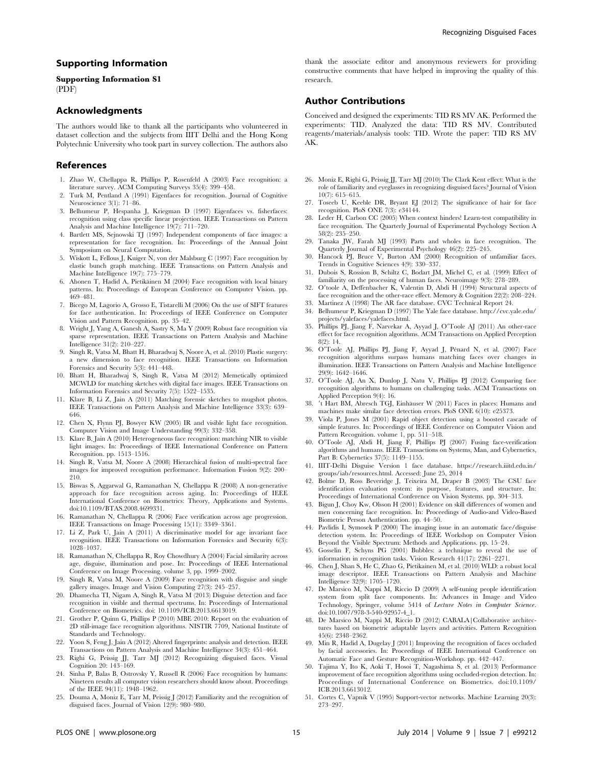## Supporting Information

Supporting Information S1 (PDF)

#### Acknowledgments

The authors would like to thank all the participants who volunteered in dataset collection and the subjects from IIIT Delhi and the Hong Kong Polytechnic University who took part in survey collection. The authors also

#### References

- 1. Zhao W, Chellappa R, Phillips P, Rosenfeld A (2003) Face recognition: a literature survey. ACM Computing Surveys 35(4): 399–458.
- 2. Turk M, Pentland A (1991) Eigenfaces for recognition. Journal of Cognitive Neuroscience 3(1): 71–86.
- 3. Belhumeur P, Hespanha J, Kriegman D (1997) Eigenfaces vs. fisherfaces: recognition using class specific linear projection. IEEE Transactions on Pattern Analysis and Machine Intelligence 19(7): 711–720.
- 4. Bartlett MS, Sejnowski TJ (1997) Independent components of face images: a representation for face recognition. In: Proceedings of the Annual Joint Symposium on Neural Computation.
- 5. Wiskott L, Fellous J, Kuiger N, von der Malsburg C (1997) Face recognition by elastic bunch graph matching. IEEE Transactions on Pattern Analysis and Machine Intelligence 19(7): 775–779.
- 6. Ahonen T, Hadid A, Pietikäinen M (2004) Face recognition with local binary patterns. In: Proceedings of European Conference on Computer Vision. pp. 469–481.
- 7. Bicego M, Lagorio A, Grosso E, Tistarelli M (2006) On the use of SIFT features for face authentication. In: Proceedings of IEEE Conference on Computer Vision and Pattern Recognition. pp. 35–42.
- 8. Wright J, Yang A, Ganesh A, Sastry S, Ma Y (2009) Robust face recognition via sparse representation. IEEE Transactions on Pattern Analysis and Machine Intelligence 31(2): 210–227.
- 9. Singh R, Vatsa M, Bhatt H, Bharadwaj S, Noore A, et al. (2010) Plastic surgery: a new dimension to face recognition. IEEE Transactions on Information Forensics and Security 5(3): 441–448.
- 10. Bhatt H, Bharadwaj S, Singh R, Vatsa M (2012) Memetically optimized MCWLD for matching sketches with digital face images. IEEE Transactions on Information Forensics and Security 7(5): 1522–1535.
- 11. Klare B, Li Z, Jain A (2011) Matching forensic sketches to mugshot photos. IEEE Transactions on Pattern Analysis and Machine Intelligence 33(3): 639– 646.
- 12. Chen X, Flynn PJ, Bowyer KW (2005) IR and visible light face recognition. Computer Vision and Image Understanding 99(3): 332–358.
- 13. Klare B, Jain A (2010) Heterogeneous face recognition: matching NIR to visible light images. In: Proceedings of IEEE International Conference on Pattern Recognition. pp. 1513–1516.
- 14. Singh R, Vatsa M, Noore A (2008) Hierarchical fusion of multi-spectral face images for improved recognition performance. Information Fusion 9(2): 200– 210.
- 15. Biswas S, Aggarwal G, Ramanathan N, Chellappa R (2008) A non-generative approach for face recognition across aging. In: Proceedings of IEEE International Conference on Biometrics: Theory, Applications and Systems. doi:10.1109/BTAS.2008.4699331.
- 16. Ramanathan N, Chellappa R (2006) Face verification across age progression. IEEE Transactions on Image Processing 15(11): 3349–3361.
- 17. Li Z, Park U, Jain A (2011) A discriminative model for age invariant face recognition. IEEE Transactions on Information Forensics and Security 6(3): 1028–1037.
- 18. Ramanathan N, Chellappa R, Roy Chowdhury A (2004) Facial similarity across age, disguise, illumination and pose. In: Proceedings of IEEE International Conference on Image Processing. volume 3, pp. 1999–2002.
- 19. Singh R, Vatsa M, Noore A (2009) Face recognition with disguise and single gallery images. Image and Vision Computing 27(3): 245–257.
- 20. Dhamecha TI, Nigam A, Singh R, Vatsa M (2013) Disguise detection and face recognition in visible and thermal spectrums. In: Proceedings of International Conference on Biometrics. doi: 10.1109/ICB.2013.6613019.
- 21. Grother P, Quinn G, Phillips P (2010) MBE 2010: Report on the evaluation of 2D still-image face recognition algorithms. NISTIR 7709, National Institute of Standards and Technology.
- 22. Yoon S, Feng J, Jain A (2012) Altered fingerprints: analysis and detection. IEEE Transactions on Pattern Analysis and Machine Intelligence 34(3): 451–464.
- 23. Righi G, Peissig JJ, Tarr MJ (2012) Recognizing disguised faces. Visual Cognition 20: 143–169.
- 24. Sinha P, Balas B, Ostrovsky Y, Russell R (2006) Face recognition by humans: Nineteen results all computer vision researchers should know about. Proceedings of the IEEE 94(11): 1948–1962.
- 25. Douma A, Moniz E, Tarr M, Peissig J (2012) Familiarity and the recognition of disguised faces. Journal of Vision 12(9): 980–980.

# Author Contributions

research.

Conceived and designed the experiments: TID RS MV AK. Performed the experiments: TID. Analyzed the data: TID RS MV. Contributed reagents/materials/analysis tools: TID. Wrote the paper: TID RS MV AK.

- 26. Moniz E, Righi G, Peissig JJ, Tarr MJ (2010) The Clark Kent effect: What is the role of familiarity and eyeglasses in recognizing disguised faces? Journal of Vision 10(7): 615–615.
- 27. Toseeb U, Keeble DR, Bryant EJ (2012) The significance of hair for face recognition. PloS ONE 7(3): e34144.
- 28. Leder H, Carbon CC (2005) When context hinders! Learn-test compatibility in face recognition. The Quarterly Journal of Experimental Psychology Section A 58(2): 235–250.
- 29. Tanaka JW, Farah MJ (1993) Parts and wholes in face recognition. The Quarterly Journal of Experimental Psychology 46(2): 225–245.
- 30. Hancock PJ, Bruce V, Burton AM (2000) Recognition of unfamiliar faces. Trends in Cognitive Sciences 4(9): 330–337.
- 31. Dubois S, Rossion B, Schiltz C, Bodart JM, Michel C, et al. (1999) Effect of familiarity on the processing of human faces. Neuroimage 9(3): 278–289.
- 32. O'toole A, Deffenbacher K, Valentin D, Abdi H (1994) Structural aspects of face recognition and the other-race effect. Memory & Cognition 22(2): 208–224.
- 33. Martinez A (1998) The AR face database. CVC Technical Report 24.
- 34. Belhumeur P, Kriegman D (1997) The Yale face database. http://cvc.yale.edu/ projects/yalefaces/yalefaces.html.
- 35. Phillips PJ, Jiang F, Narvekar A, Ayyad J, O'Toole AJ (2011) An other-race effect for face recognition algorithms. ACM Transactions on Applied Perception  $8(2) \cdot 14$
- 36. O'Toole AJ, Phillips PJ, Jiang F, Ayyad J, Pénard N, et al. (2007) Face recognition algorithms surpass humans matching faces over changes in illumination. IEEE Transactions on Pattern Analysis and Machine Intelligence 29(9): 1642–1646.
- 37. O'Toole AJ, An X, Dunlop J, Natu V, Phillips PJ (2012) Comparing face recognition algorithms to humans on challenging tasks. ACM Transactions on Applied Perception 9(4): 16.
- 38.  $'$ t Hart BM, Abresch TGJ, Einhäuser W (2011) Faces in places: Humans and machines make similar face detection errors. PloS ONE 6(10): e25373.
- 39. Viola P, Jones M (2001) Rapid object detection using a boosted cascade of simple features. In: Proceedings of IEEE Conference on Computer Vision and Pattern Recognition. volume 1, pp. 511–518.
- 40. O'Toole AJ, Abdi H, Jiang F, Phillips PJ (2007) Fusing face-verification algorithms and humans. IEEE Transactions on Systems, Man, and Cybernetics, Part B: Cybernetics 37(5): 1149–1155.
- 41. IIIT-Delhi Disguise Version 1 face database. https://research.iiitd.edu.in/ groups/iab/resources.html. Accessed: June 25, 2014
- 42. Bolme D, Ross Beveridge J, Teixeira M, Draper B (2003) The CSU face identification evaluation system: its purpose, features, and structure. In: Proceedings of International Conference on Vision Systems. pp. 304–313.
- 43. Bigun J, Choy Kw, Olsson H (2001) Evidence on skill differences of women and men concerning face recognition. In: Proceedings of Audio-and Video-Based Biometric Person Authentication. pp. 44–50.
- 44. Pavlidis I, Symosek P (2000) The imaging issue in an automatic face/disguise detection system. In: Proceedings of IEEE Workshop on Computer Vision Beyond the Visible Spectrum: Methods and Applications. pp. 15–24.
- 45. Gosselin F, Schyns PG (2001) Bubbles: a technique to reveal the information in recognition tasks. Vision Research 41(17): 2261–2271.
- 46. Chen J, Shan S, He C, Zhao G, Pietikainen M, et al. (2010) WLD: a robust local image descriptor. IEEE Transactions on Pattern Analysis and Machine Intelligence 32(9): 1705–1720.
- 47. De Marsico M, Nappi M, Riccio D (2009) A self-tuning people identification system from split face components. In: Advances in Image and Video Technology, Springer, volume 5414 of Lecture Notes in Computer Science. doi:10.1007/978-3-540-92957-4\_1.
- 48. De Marsico M, Nappi M, Riccio D (2012) CABALA|Collaborative architectures based on biometric adaptable layers and activities. Pattern Recognition 45(6): 2348–2362.
- 49. Min R, Hadid A, Dugelay J (2011) Improving the recognition of faces occluded by facial accessories. In: Proceedings of IEEE International Conference on
- Automatic Face and Gesture Recognition-Workshop. pp. 442–447. 50. Tajima Y, Ito K, Aoki T, Hosoi T, Nagashima S, et al. (2013) Performance improvement of face recognition algorithms using occluded-region detection. In: Proceedings of International Conference on Biometrics. doi:10.1109/ ICB.2013.6613012.
- 51. Cortes C, Vapnik V (1995) Support-vector networks. Machine Learning 20(3): 273–297.